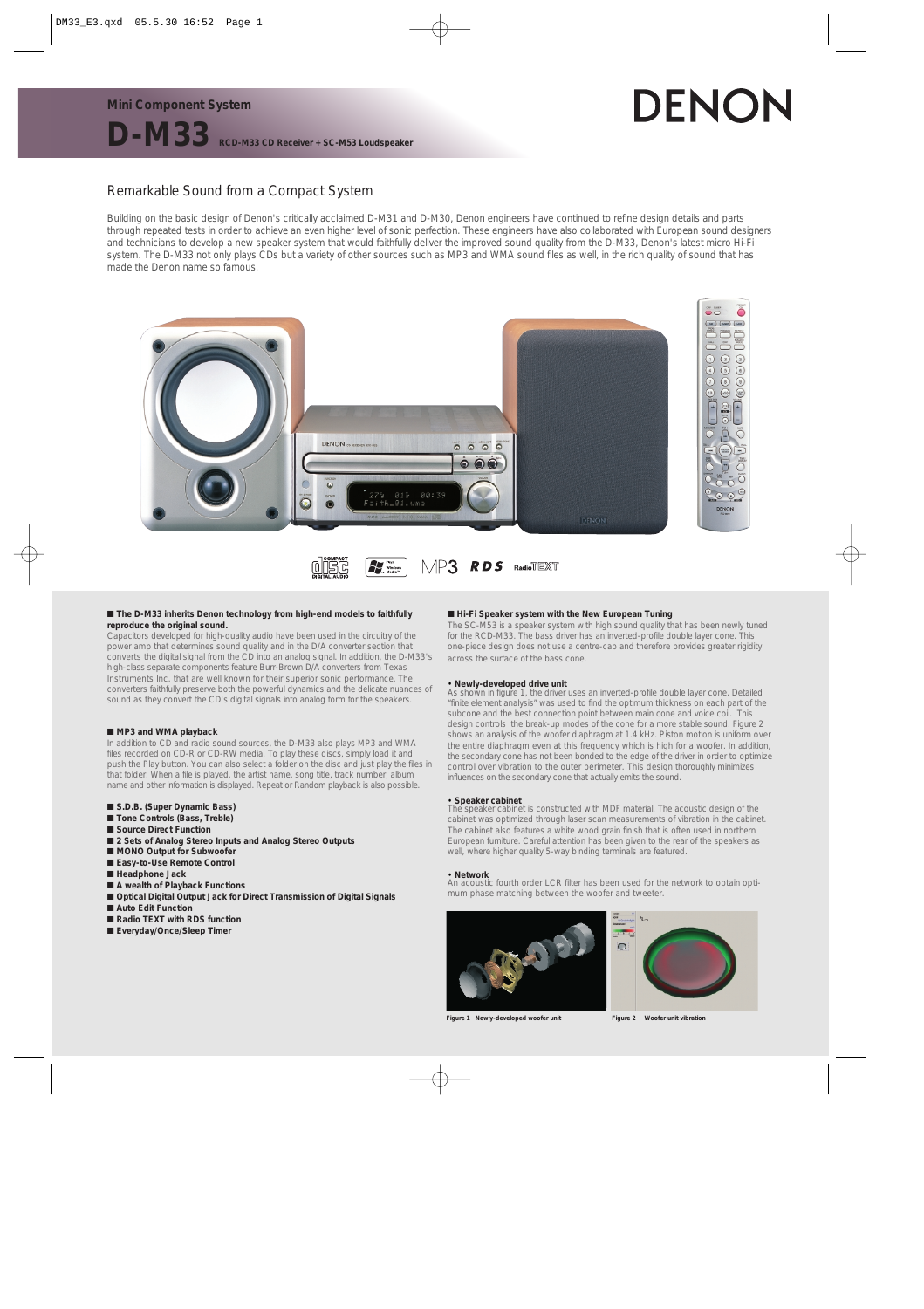# DENON

## Remarkable Sound from a Compact System

Building on the basic design of Denon's critically acclaimed D-M31 and D-M30, Denon engineers have continued to refine design details and parts through repeated tests in order to achieve an even higher level of sonic perfection. These engineers have also collaborated with European sound designers and technicians to develop a new speaker system that would faithfully deliver the improved sound quality from the D-M33, Denon's latest micro Hi-Fi system. The D-M33 not only plays CDs but a variety of other sources such as MP3 and WMA sound files as well, in the rich quality of sound that has made the Denon name so famous.





#### ■ **The D-M33 inherits Denon technology from high-end models to faithfully reproduce the original sound.**

Capacitors developed for high-quality audio have been used in the circuitry of the power amp that determines sound quality and in the D/A converter section that converts the digital signal from the CD into an analog signal. In addition, the D-M33's high-class separate components feature Burr-Brown D/A converters from Texas Instruments Inc. that are well known for their superior sonic performance. The converters faithfully preserve both the powerful dynamics and the delicate nuances of sound as they convert the CD's digital signals into analog form for the speakers.

#### ■ MP3 and WMA playback

In addition to CD and radio sound sources, the D-M33 also plays MP3 and WMA files recorded on CD-R or CD-RW media. To play these discs, simply load it and push the Play button. You can also select a folder on the disc and just play the files in that folder. When a file is played, the artist name, song title, track number, album name and other information is displayed. Repeat or Random playback is also possible.

#### ■ **S.D.B. (Super Dynamic Bass)**

- **Tone Controls (Bass, Treble)**
- **Source Direct Function**
- 2 Sets of Analog Stereo Inputs and Analog Stereo Outputs
- **MONO Output for Subwoofer**
- **Easy-to-Use Remote Control**
- **Headphone Jack**
- A wealth of Playback Functions
- **Optical Digital Output Jack for Direct Transmission of Digital Signals**
- Auto Edit Function
- **Radio TEXT with RDS function**
- **Everyday/Once/Sleep Timer**

#### ■ Hi-Fi Speaker system with the New European Tuning

The SC-M53 is a speaker system with high sound quality that has been newly tuned for the RCD-M33. The bass driver has an inverted-profile double layer cone. This one-piece design does not use a centre-cap and therefore provides greater rigidity across the surface of the bass cone.

#### • **Newly-developed drive unit**

As shown in figure 1, the driver uses an inverted-profile double layer cone. Detailed "finite element analysis" was used to find the optimum thickness on each part of the subcone and the best connection point between main cone and voice coil. This design controls the break-up modes of the cone for a more stable sound. Figure 2 shows an analysis of the woofer diaphragm at 1.4 kHz. Piston motion is uniform over the entire diaphragm even at this frequency which is high for a woofer. In addition, the secondary cone has not been bonded to the edge of the driver in order to optimize control over vibration to the outer perimeter. This design thoroughly minimizes influences on the secondary cone that actually emits the sound.

#### • **Speaker cabinet**

The speaker cabinet is constructed with MDF material. The acoustic design of the cabinet was optimized through laser scan measurements of vibration in the cabinet. The cabinet also features a white wood grain finish that is often used in northern European furniture. Careful attention has been given to the rear of the speakers as well, where higher quality 5-way binding terminals are featured.

• **Network** An acoustic fourth order LCR filter has been used for the network to obtain optimum phase matching between the woofer and tweeter.



**Figure 1 Newly-developed woofer unit Figure 2 Woofer unit vibration**